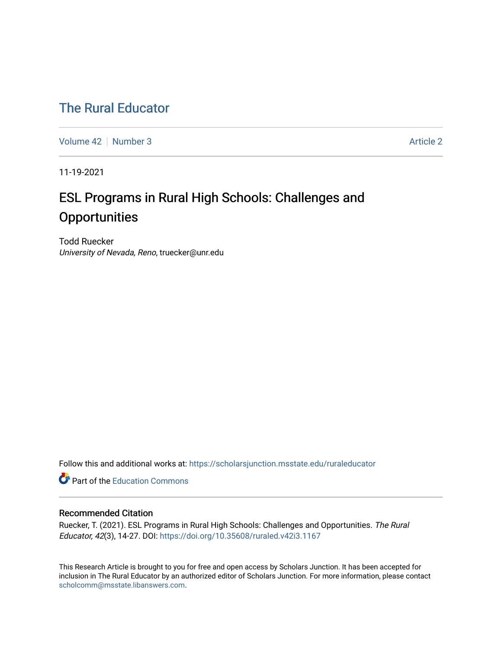# [The Rural Educator](https://scholarsjunction.msstate.edu/ruraleducator)

[Volume 42](https://scholarsjunction.msstate.edu/ruraleducator/vol42) [Number 3](https://scholarsjunction.msstate.edu/ruraleducator/vol42/iss3) Article 2

11-19-2021

# ESL Programs in Rural High Schools: Challenges and **Opportunities**

Todd Ruecker University of Nevada, Reno, truecker@unr.edu

Follow this and additional works at: [https://scholarsjunction.msstate.edu/ruraleducator](https://scholarsjunction.msstate.edu/ruraleducator?utm_source=scholarsjunction.msstate.edu%2Fruraleducator%2Fvol42%2Fiss3%2F2&utm_medium=PDF&utm_campaign=PDFCoverPages)

**C** Part of the [Education Commons](http://network.bepress.com/hgg/discipline/784?utm_source=scholarsjunction.msstate.edu%2Fruraleducator%2Fvol42%2Fiss3%2F2&utm_medium=PDF&utm_campaign=PDFCoverPages)

# Recommended Citation

Ruecker, T. (2021). ESL Programs in Rural High Schools: Challenges and Opportunities. The Rural Educator, 42(3), 14-27. DOI: <https://doi.org/10.35608/ruraled.v42i3.1167>

This Research Article is brought to you for free and open access by Scholars Junction. It has been accepted for inclusion in The Rural Educator by an authorized editor of Scholars Junction. For more information, please contact [scholcomm@msstate.libanswers.com.](mailto:scholcomm@msstate.libanswers.com)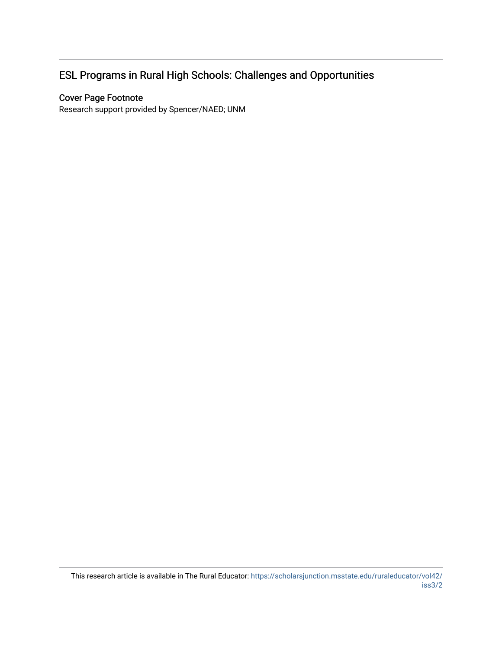# ESL Programs in Rural High Schools: Challenges and Opportunities

# Cover Page Footnote

Research support provided by Spencer/NAED; UNM

This research article is available in The Rural Educator: [https://scholarsjunction.msstate.edu/ruraleducator/vol42/](https://scholarsjunction.msstate.edu/ruraleducator/vol42/iss3/2) [iss3/2](https://scholarsjunction.msstate.edu/ruraleducator/vol42/iss3/2)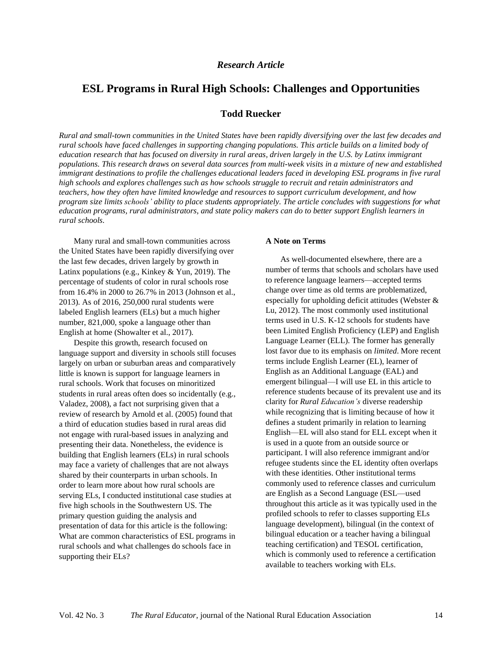# **ESL Programs in Rural High Schools: Challenges and Opportunities**

## **Todd Ruecker**

Rural and small-town communities in the United States have been rapidly diversifying over the last few decades and rural schools have faced challenges in supporting changing populations. This article builds on a limited body of education research that has focused on diversity in rural areas, driven largely in the U.S. by Latinx immigrant populations. This research draws on several data sources from multi-week visits in a mixture of new and established immigrant destinations to profile the challenges educational leaders faced in developing ESL programs in five rural *high schools and explores challenges such as how schools struggle to recruit and retain administrators and teachers, how they often have limited knowledge and resources to support curriculum development, and how* program size limits schools' ability to place students appropriately. The article concludes with suggestions for what *education programs, rural administrators, and state policy makers can do to better support English learners in rural schools.*

Many rural and small-town communities across the United States have been rapidly diversifying over the last few decades, driven largely by growth in Latinx populations (e.g., Kinkey & Yun, 2019). The percentage of students of color in rural schools rose from 16.4% in 2000 to 26.7% in 2013 (Johnson et al., 2013). As of 2016, 250,000 rural students were labeled English learners (ELs) but a much higher number, 821,000, spoke a language other than English at home (Showalter et al., 2017).

Despite this growth, research focused on language support and diversity in schools still focuses largely on urban or suburban areas and comparatively little is known is support for language learners in rural schools. Work that focuses on minoritized students in rural areas often does so incidentally (e.g., Valadez, 2008), a fact not surprising given that a review of research by Arnold et al. (2005) found that a third of education studies based in rural areas did not engage with rural-based issues in analyzing and presenting their data. Nonetheless, the evidence is building that English learners (ELs) in rural schools may face a variety of challenges that are not always shared by their counterparts in urban schools. In order to learn more about how rural schools are serving ELs, I conducted institutional case studies at five high schools in the Southwestern US. The primary question guiding the analysis and presentation of data for this article is the following: What are common characteristics of ESL programs in rural schools and what challenges do schools face in supporting their ELs?

#### **A Note on Terms**

As well-documented elsewhere, there are a number of terms that schools and scholars have used to reference language learners—accepted terms change over time as old terms are problematized, especially for upholding deficit attitudes (Webster & Lu, 2012). The most commonly used institutional terms used in U.S. K-12 schools for students have been Limited English Proficiency (LEP) and English Language Learner (ELL). The former has generally lost favor due to its emphasis on *limited*. More recent terms include English Learner (EL), learner of English as an Additional Language (EAL) and emergent bilingual—I will use EL in this article to reference students because of its prevalent use and its clarity for *Rural Education's* diverse readership while recognizing that is limiting because of how it defines a student primarily in relation to learning English—EL will also stand for ELL except when it is used in a quote from an outside source or participant. I will also reference immigrant and/or refugee students since the EL identity often overlaps with these identities. Other institutional terms commonly used to reference classes and curriculum are English as a Second Language (ESL—used throughout this article as it was typically used in the profiled schools to refer to classes supporting ELs language development), bilingual (in the context of bilingual education or a teacher having a bilingual teaching certification) and TESOL certification, which is commonly used to reference a certification available to teachers working with ELs.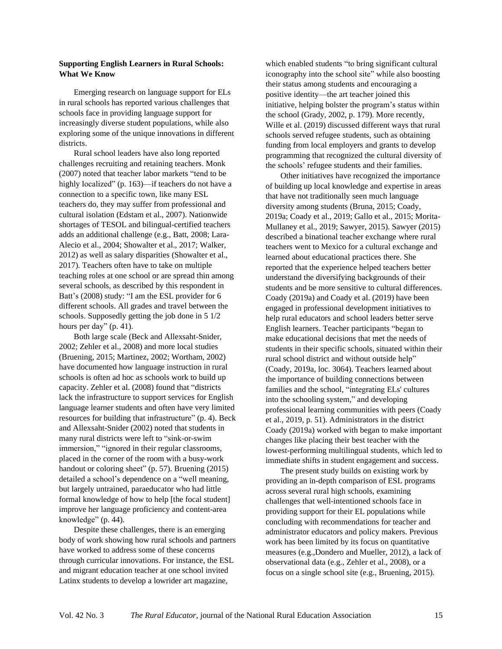### **Supporting English Learners in Rural Schools: What We Know**

Emerging research on language support for ELs in rural schools has reported various challenges that schools face in providing language support for increasingly diverse student populations, while also exploring some of the unique innovations in different districts.

Rural school leaders have also long reported challenges recruiting and retaining teachers. Monk (2007) noted that teacher labor markets "tend to be highly localized" (p. 163)—if teachers do not have a connection to a specific town, like many ESL teachers do, they may suffer from professional and cultural isolation (Edstam et al., 2007). Nationwide shortages of TESOL and bilingual-certified teachers adds an additional challenge (e.g., Batt, 2008; Lara-Alecio et al., 2004; Showalter et al., 2017; Walker, 2012) as well as salary disparities (Showalter et al., 2017). Teachers often have to take on multiple teaching roles at one school or are spread thin among several schools, as described by this respondent in Batt's (2008) study: "I am the ESL provider for 6 different schools. All grades and travel between the schools. Supposedly getting the job done in 5 1/2 hours per day" (p. 41).

Both large scale (Beck and Allexsaht-Snider, 2002; Zehler et al., 2008) and more local studies (Bruening, 2015; Martinez, 2002; Wortham, 2002) have documented how language instruction in rural schools is often ad hoc as schools work to build up capacity. Zehler et al. (2008) found that "districts lack the infrastructure to support services for English language learner students and often have very limited resources for building that infrastructure" (p. 4). Beck and Allexsaht-Snider (2002) noted that students in many rural districts were left to "sink-or-swim immersion," "ignored in their regular classrooms, placed in the corner of the room with a busy-work handout or coloring sheet" (p. 57). Bruening (2015) detailed a school's dependence on a "well meaning, but largely untrained, paraeducator who had little formal knowledge of how to help [the focal student] improve her language proficiency and content-area knowledge" (p. 44).

Despite these challenges, there is an emerging body of work showing how rural schools and partners have worked to address some of these concerns through curricular innovations. For instance, the ESL and migrant education teacher at one school invited Latinx students to develop a lowrider art magazine,

which enabled students "to bring significant cultural iconography into the school site" while also boosting their status among students and encouraging a positive identity—the art teacher joined this initiative, helping bolster the program's status within the school (Grady, 2002, p. 179). More recently, Wille et al. (2019) discussed different ways that rural schools served refugee students, such as obtaining funding from local employers and grants to develop programming that recognized the cultural diversity of the schools' refugee students and their families.

Other initiatives have recognized the importance of building up local knowledge and expertise in areas that have not traditionally seen much language diversity among students (Bruna, 2015; Coady, 2019a; Coady et al., 2019; Gallo et al., 2015; Morita-Mullaney et al., 2019; Sawyer, 2015). Sawyer (2015) described a binational teacher exchange where rural teachers went to Mexico for a cultural exchange and learned about educational practices there. She reported that the experience helped teachers better understand the diversifying backgrounds of their students and be more sensitive to cultural differences. Coady (2019a) and Coady et al. (2019) have been engaged in professional development initiatives to help rural educators and school leaders better serve English learners. Teacher participants "began to make educational decisions that met the needs of students in their specific schools, situated within their rural school district and without outside help" (Coady, 2019a, loc. 3064). Teachers learned about the importance of building connections between families and the school, "integrating ELs' cultures into the schooling system," and developing professional learning communities with peers (Coady et al., 2019, p. 51). Administrators in the district Coady (2019a) worked with began to make important changes like placing their best teacher with the lowest-performing multilingual students, which led to immediate shifts in student engagement and success.

The present study builds on existing work by providing an in-depth comparison of ESL programs across several rural high schools, examining challenges that well-intentioned schools face in providing support for their EL populations while concluding with recommendations for teacher and administrator educators and policy makers. Previous work has been limited by its focus on quantitative measures (e.g.,Dondero and Mueller, 2012), a lack of observational data (e.g., Zehler et al., 2008), or a focus on a single school site (e.g., Bruening, 2015).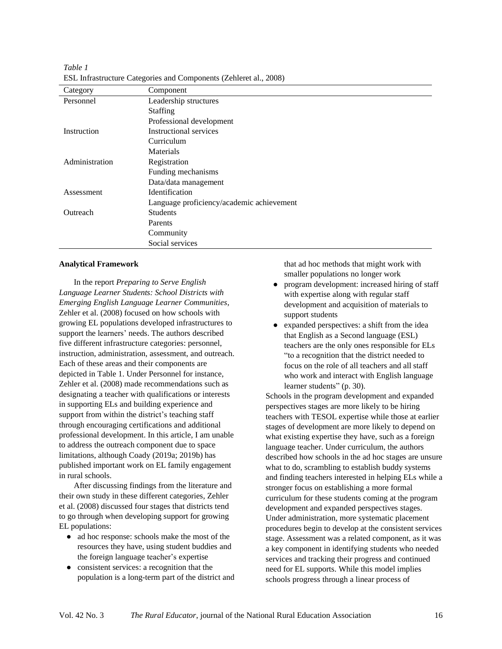*Table 1* ESL Infrastructure Categories and Components (Zehleret al., 2008)

| Category       | Component                                 |
|----------------|-------------------------------------------|
| Personnel      | Leadership structures                     |
|                | <b>Staffing</b>                           |
|                | Professional development                  |
| Instruction    | <b>Instructional services</b>             |
|                | Curriculum                                |
|                | Materials                                 |
| Administration | Registration                              |
|                | Funding mechanisms                        |
|                | Data/data management                      |
| Assessment     | Identification                            |
|                | Language proficiency/academic achievement |
| Outreach       | <b>Students</b>                           |
|                | Parents                                   |
|                | Community                                 |
|                | Social services                           |

#### **Analytical Framework**

In the report *Preparing to Serve English Language Learner Students: School Districts with Emerging English Language Learner Communities*, Zehler et al. (2008) focused on how schools with growing EL populations developed infrastructures to support the learners' needs. The authors described five different infrastructure categories: personnel, instruction, administration, assessment, and outreach. Each of these areas and their components are depicted in Table 1. Under Personnel for instance, Zehler et al. (2008) made recommendations such as designating a teacher with qualifications or interests in supporting ELs and building experience and support from within the district's teaching staff through encouraging certifications and additional professional development. In this article, I am unable to address the outreach component due to space limitations, although Coady (2019a; 2019b) has published important work on EL family engagement in rural schools.

After discussing findings from the literature and their own study in these different categories, Zehler et al. (2008) discussed four stages that districts tend to go through when developing support for growing EL populations:

- ad hoc response: schools make the most of the resources they have, using student buddies and the foreign language teacher's expertise
- consistent services: a recognition that the population is a long-term part of the district and

that ad hoc methods that might work with smaller populations no longer work

- program development: increased hiring of staff with expertise along with regular staff development and acquisition of materials to support students
- expanded perspectives: a shift from the idea that English as a Second language (ESL) teachers are the only ones responsible for ELs "to a recognition that the district needed to focus on the role of all teachers and all staff who work and interact with English language learner students" (p. 30).

Schools in the program development and expanded perspectives stages are more likely to be hiring teachers with TESOL expertise while those at earlier stages of development are more likely to depend on what existing expertise they have, such as a foreign language teacher. Under curriculum, the authors described how schools in the ad hoc stages are unsure what to do, scrambling to establish buddy systems and finding teachers interested in helping ELs while a stronger focus on establishing a more formal curriculum for these students coming at the program development and expanded perspectives stages. Under administration, more systematic placement procedures begin to develop at the consistent services stage. Assessment was a related component, as it was a key component in identifying students who needed services and tracking their progress and continued need for EL supports. While this model implies schools progress through a linear process of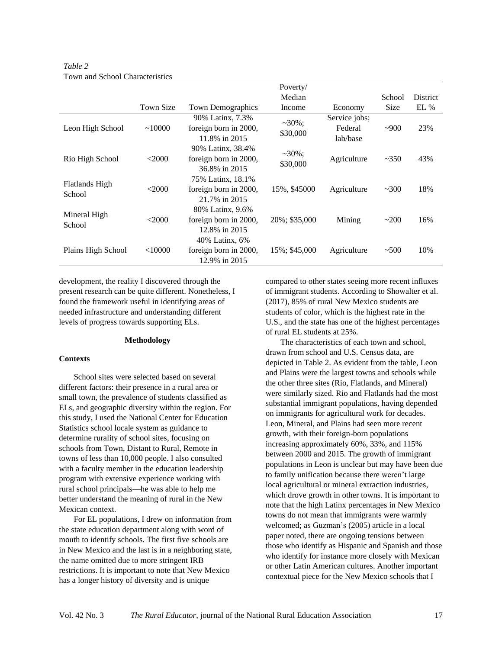|                                 |              |                                                             | Poverty/              |                                      |             |                 |
|---------------------------------|--------------|-------------------------------------------------------------|-----------------------|--------------------------------------|-------------|-----------------|
|                                 |              |                                                             | Median                |                                      | School      | <b>District</b> |
|                                 | Town Size    | <b>Town Demographics</b>                                    | Income                | Economy                              | <b>Size</b> | $EL\%$          |
| Leon High School                | $\sim 10000$ | 90% Latinx, 7.3%<br>foreign born in 2000,<br>11.8% in 2015  | $~20\%$ ;<br>\$30,000 | Service jobs;<br>Federal<br>lab/base | $-900$      | 23%             |
| Rio High School                 | < 2000       | 90% Latinx, 38.4%<br>foreign born in 2000,<br>36.8% in 2015 | $~20\%$ ;<br>\$30,000 | Agriculture                          | ~1.350      | 43%             |
| <b>Flatlands High</b><br>School | <2000        | 75% Latinx, 18.1%<br>foreign born in 2000,<br>21.7% in 2015 | 15%, \$45000          | Agriculture                          | ~100        | 18%             |
| Mineral High<br>School          | <2000        | 80% Latinx, 9.6%<br>foreign born in 2000,<br>12.8% in 2015  | 20%; \$35,000         | Mining                               | ~200        | 16%             |
| Plains High School              | $<$ 10000    | 40% Latinx, 6%<br>foreign born in 2000,<br>12.9% in 2015    | 15%; \$45,000         | Agriculture                          | ~100        | 10%             |

*Table 2* Town and School Characteristics

development, the reality I discovered through the present research can be quite different. Nonetheless, I found the framework useful in identifying areas of needed infrastructure and understanding different levels of progress towards supporting ELs.

#### **Methodology**

#### **Contexts**

School sites were selected based on several different factors: their presence in a rural area or small town, the prevalence of students classified as ELs, and geographic diversity within the region. For this study, I used the National Center for Education Statistics school locale system as guidance to determine rurality of school sites, focusing on schools from Town, Distant to Rural, Remote in towns of less than 10,000 people. I also consulted with a faculty member in the education leadership program with extensive experience working with rural school principals—he was able to help me better understand the meaning of rural in the New Mexican context.

For EL populations, I drew on information from the state education department along with word of mouth to identify schools. The first five schools are in New Mexico and the last is in a neighboring state, the name omitted due to more stringent IRB restrictions. It is important to note that New Mexico has a longer history of diversity and is unique

compared to other states seeing more recent influxes of immigrant students. According to Showalter et al. (2017), 85% of rural New Mexico students are students of color, which is the highest rate in the U.S., and the state has one of the highest percentages of rural EL students at 25%.

The characteristics of each town and school, drawn from school and U.S. Census data, are depicted in Table 2. As evident from the table, Leon and Plains were the largest towns and schools while the other three sites (Rio, Flatlands, and Mineral) were similarly sized. Rio and Flatlands had the most substantial immigrant populations, having depended on immigrants for agricultural work for decades. Leon, Mineral, and Plains had seen more recent growth, with their foreign-born populations increasing approximately 60%, 33%, and 115% between 2000 and 2015. The growth of immigrant populations in Leon is unclear but may have been due to family unification because there weren't large local agricultural or mineral extraction industries, which drove growth in other towns. It is important to note that the high Latinx percentages in New Mexico towns do not mean that immigrants were warmly welcomed; as Guzman's (2005) article in a local paper noted, there are ongoing tensions between those who identify as Hispanic and Spanish and those who identify for instance more closely with Mexican or other Latin American cultures. Another important contextual piece for the New Mexico schools that I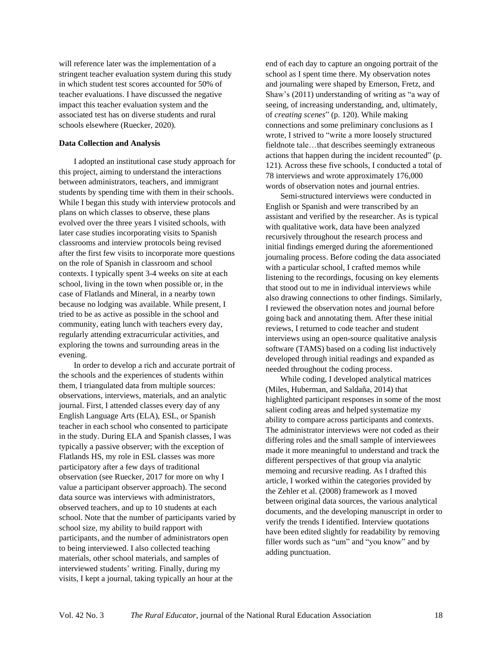will reference later was the implementation of a stringent teacher evaluation system during this study in which student test scores accounted for 50% of teacher evaluations. I have discussed the negative impact this teacher evaluation system and the associated test has on diverse students and rural schools elsewhere (Ruecker, 2020).

### **Data Collection and Analysis**

I adopted an institutional case study approach for this project, aiming to understand the interactions between administrators, teachers, and immigrant students by spending time with them in their schools. While I began this study with interview protocols and plans on which classes to observe, these plans evolved over the three years I visited schools, with later case studies incorporating visits to Spanish classrooms and interview protocols being revised after the first few visits to incorporate more questions on the role of Spanish in classroom and school contexts. I typically spent 3-4 weeks on site at each school, living in the town when possible or, in the case of Flatlands and Mineral, in a nearby town because no lodging was available. While present, I tried to be as active as possible in the school and community, eating lunch with teachers every day, regularly attending extracurricular activities, and exploring the towns and surrounding areas in the evening.

In order to develop a rich and accurate portrait of the schools and the experiences of students within them, I triangulated data from multiple sources: observations, interviews, materials, and an analytic journal. First, I attended classes every day of any English Language Arts (ELA), ESL, or Spanish teacher in each school who consented to participate in the study. During ELA and Spanish classes, I was typically a passive observer; with the exception of Flatlands HS, my role in ESL classes was more participatory after a few days of traditional observation (see Ruecker, 2017 for more on why I value a participant observer approach). The second data source was interviews with administrators, observed teachers, and up to 10 students at each school. Note that the number of participants varied by school size, my ability to build rapport with participants, and the number of administrators open to being interviewed. I also collected teaching materials, other school materials, and samples of interviewed students' writing. Finally, during my visits, I kept a journal, taking typically an hour at the

end of each day to capture an ongoing portrait of the school as I spent time there. My observation notes and journaling were shaped by Emerson, Fretz, and Shaw's (2011) understanding of writing as "a way of seeing, of increasing understanding, and, ultimately, of *creating scenes*" (p. 120). While making connections and some preliminary conclusions as I wrote, I strived to "write a more loosely structured fieldnote tale…that describes seemingly extraneous actions that happen during the incident recounted" (p. 121). Across these five schools, I conducted a total of 78 interviews and wrote approximately 176,000 words of observation notes and journal entries.

Semi-structured interviews were conducted in English or Spanish and were transcribed by an assistant and verified by the researcher. As is typical with qualitative work, data have been analyzed recursively throughout the research process and initial findings emerged during the aforementioned journaling process. Before coding the data associated with a particular school, I crafted memos while listening to the recordings, focusing on key elements that stood out to me in individual interviews while also drawing connections to other findings. Similarly, I reviewed the observation notes and journal before going back and annotating them. After these initial reviews, I returned to code teacher and student interviews using an open-source qualitative analysis software (TAMS) based on a coding list inductively developed through initial readings and expanded as needed throughout the coding process.

While coding, I developed analytical matrices (Miles, Huberman, and Saldaña, 2014) that highlighted participant responses in some of the most salient coding areas and helped systematize my ability to compare across participants and contexts. The administrator interviews were not coded as their differing roles and the small sample of interviewees made it more meaningful to understand and track the different perspectives of that group via analytic memoing and recursive reading. As I drafted this article, I worked within the categories provided by the Zehler et al. (2008) framework as I moved between original data sources, the various analytical documents, and the developing manuscript in order to verify the trends I identified. Interview quotations have been edited slightly for readability by removing filler words such as "um" and "you know" and by adding punctuation.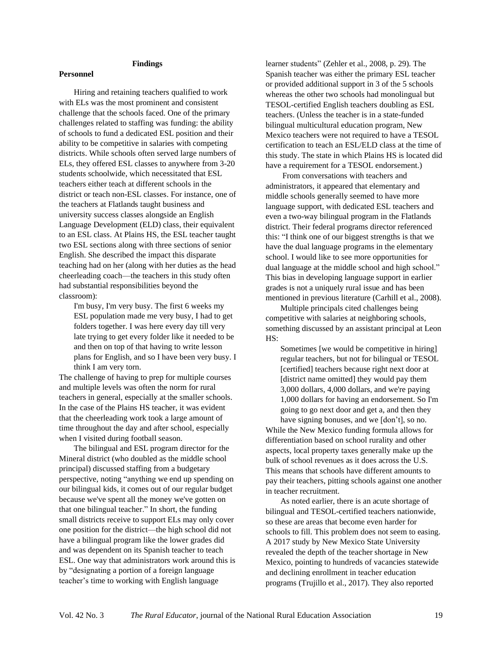### **Findings**

#### **Personnel**

Hiring and retaining teachers qualified to work with ELs was the most prominent and consistent challenge that the schools faced. One of the primary challenges related to staffing was funding: the ability of schools to fund a dedicated ESL position and their ability to be competitive in salaries with competing districts. While schools often served large numbers of ELs, they offered ESL classes to anywhere from 3-20 students schoolwide, which necessitated that ESL teachers either teach at different schools in the district or teach non-ESL classes. For instance, one of the teachers at Flatlands taught business and university success classes alongside an English Language Development (ELD) class, their equivalent to an ESL class. At Plains HS, the ESL teacher taught two ESL sections along with three sections of senior English. She described the impact this disparate teaching had on her (along with her duties as the head cheerleading coach—the teachers in this study often had substantial responsibilities beyond the classroom):

I'm busy, I'm very busy. The first 6 weeks my ESL population made me very busy, I had to get folders together. I was here every day till very late trying to get every folder like it needed to be and then on top of that having to write lesson plans for English, and so I have been very busy. I think I am very torn.

The challenge of having to prep for multiple courses and multiple levels was often the norm for rural teachers in general, especially at the smaller schools. In the case of the Plains HS teacher, it was evident that the cheerleading work took a large amount of time throughout the day and after school, especially when I visited during football season.

The bilingual and ESL program director for the Mineral district (who doubled as the middle school principal) discussed staffing from a budgetary perspective, noting "anything we end up spending on our bilingual kids, it comes out of our regular budget because we've spent all the money we've gotten on that one bilingual teacher." In short, the funding small districts receive to support ELs may only cover one position for the district—the high school did not have a bilingual program like the lower grades did and was dependent on its Spanish teacher to teach ESL. One way that administrators work around this is by "designating a portion of a foreign language teacher's time to working with English language

learner students" (Zehler et al., 2008, p. 29). The Spanish teacher was either the primary ESL teacher or provided additional support in 3 of the 5 schools whereas the other two schools had monolingual but TESOL-certified English teachers doubling as ESL teachers. (Unless the teacher is in a state-funded bilingual multicultural education program, New Mexico teachers were not required to have a TESOL certification to teach an ESL/ELD class at the time of this study. The state in which Plains HS is located did have a requirement for a TESOL endorsement.)

From conversations with teachers and administrators, it appeared that elementary and middle schools generally seemed to have more language support, with dedicated ESL teachers and even a two-way bilingual program in the Flatlands district. Their federal programs director referenced this: "I think one of our biggest strengths is that we have the dual language programs in the elementary school. I would like to see more opportunities for dual language at the middle school and high school." This bias in developing language support in earlier grades is not a uniquely rural issue and has been mentioned in previous literature (Carhill et al., 2008).

Multiple principals cited challenges being competitive with salaries at neighboring schools, something discussed by an assistant principal at Leon HS:

Sometimes [we would be competitive in hiring] regular teachers, but not for bilingual or TESOL [certified] teachers because right next door at [district name omitted] they would pay them 3,000 dollars, 4,000 dollars, and we're paying 1,000 dollars for having an endorsement. So I'm going to go next door and get a, and then they have signing bonuses, and we [don't], so no.

While the New Mexico funding formula allows for differentiation based on school rurality and other aspects, local property taxes generally make up the bulk of school revenues as it does across the U.S. This means that schools have different amounts to pay their teachers, pitting schools against one another in teacher recruitment.

As noted earlier, there is an acute shortage of bilingual and TESOL-certified teachers nationwide, so these are areas that become even harder for schools to fill. This problem does not seem to easing. A 2017 study by New Mexico State University revealed the depth of the teacher shortage in New Mexico, pointing to hundreds of vacancies statewide and declining enrollment in teacher education programs (Trujillo et al., 2017). They also reported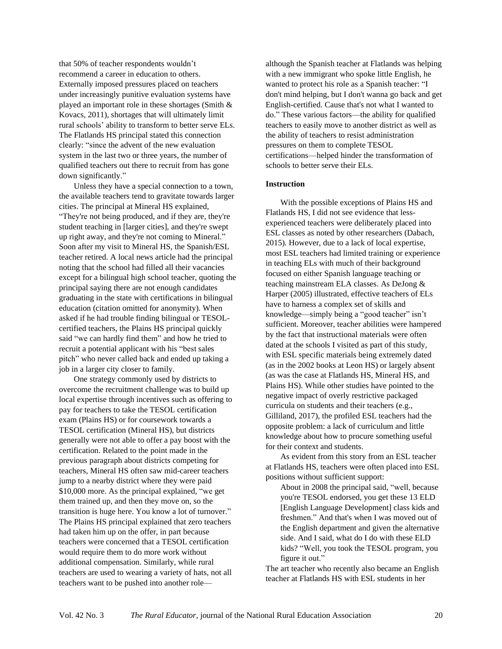that 50% of teacher respondents wouldn't recommend a career in education to others. Externally imposed pressures placed on teachers under increasingly punitive evaluation systems have played an important role in these shortages (Smith & Kovacs, 2011), shortages that will ultimately limit rural schools' ability to transform to better serve ELs. The Flatlands HS principal stated this connection clearly: "since the advent of the new evaluation system in the last two or three years, the number of qualified teachers out there to recruit from has gone down significantly."

Unless they have a special connection to a town, the available teachers tend to gravitate towards larger cities. The principal at Mineral HS explained, "They're not being produced, and if they are, they're student teaching in [larger cities], and they're swept up right away, and they're not coming to Mineral." Soon after my visit to Mineral HS, the Spanish/ESL teacher retired. A local news article had the principal noting that the school had filled all their vacancies except for a bilingual high school teacher, quoting the principal saying there are not enough candidates graduating in the state with certifications in bilingual education (citation omitted for anonymity). When asked if he had trouble finding bilingual or TESOLcertified teachers, the Plains HS principal quickly said "we can hardly find them" and how he tried to recruit a potential applicant with his "best sales pitch" who never called back and ended up taking a job in a larger city closer to family.

One strategy commonly used by districts to overcome the recruitment challenge was to build up local expertise through incentives such as offering to pay for teachers to take the TESOL certification exam (Plains HS) or for coursework towards a TESOL certification (Mineral HS), but districts generally were not able to offer a pay boost with the certification. Related to the point made in the previous paragraph about districts competing for teachers, Mineral HS often saw mid-career teachers jump to a nearby district where they were paid \$10,000 more. As the principal explained, "we get them trained up, and then they move on, so the transition is huge here. You know a lot of turnover." The Plains HS principal explained that zero teachers had taken him up on the offer, in part because teachers were concerned that a TESOL certification would require them to do more work without additional compensation. Similarly, while rural teachers are used to wearing a variety of hats, not all teachers want to be pushed into another rolealthough the Spanish teacher at Flatlands was helping with a new immigrant who spoke little English, he wanted to protect his role as a Spanish teacher: "I don't mind helping, but I don't wanna go back and get English-certified. Cause that's not what I wanted to do." These various factors—the ability for qualified teachers to easily move to another district as well as the ability of teachers to resist administration pressures on them to complete TESOL certifications—helped hinder the transformation of schools to better serve their ELs.

#### **Instruction**

With the possible exceptions of Plains HS and Flatlands HS, I did not see evidence that lessexperienced teachers were deliberately placed into ESL classes as noted by other researchers (Dabach, 2015). However, due to a lack of local expertise, most ESL teachers had limited training or experience in teaching ELs with much of their background focused on either Spanish language teaching or teaching mainstream ELA classes. As DeJong & Harper (2005) illustrated, effective teachers of ELs have to harness a complex set of skills and knowledge—simply being a "good teacher" isn't sufficient. Moreover, teacher abilities were hampered by the fact that instructional materials were often dated at the schools I visited as part of this study, with ESL specific materials being extremely dated (as in the 2002 books at Leon HS) or largely absent (as was the case at Flatlands HS, Mineral HS, and Plains HS). While other studies have pointed to the negative impact of overly restrictive packaged curricula on students and their teachers (e.g., Gilliland, 2017), the profiled ESL teachers had the opposite problem: a lack of curriculum and little knowledge about how to procure something useful for their context and students.

As evident from this story from an ESL teacher at Flatlands HS, teachers were often placed into ESL positions without sufficient support:

About in 2008 the principal said, "well, because you're TESOL endorsed, you get these 13 ELD [English Language Development] class kids and freshmen." And that's when I was moved out of the English department and given the alternative side. And I said, what do I do with these ELD kids? "Well, you took the TESOL program, you figure it out."

The art teacher who recently also became an English teacher at Flatlands HS with ESL students in her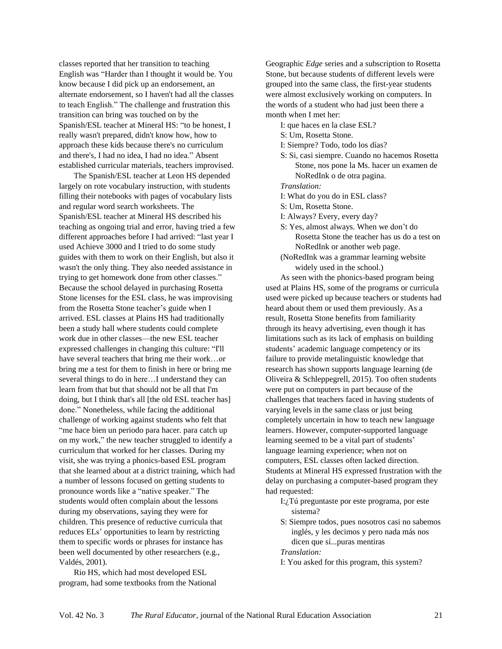classes reported that her transition to teaching English was "Harder than I thought it would be. You know because I did pick up an endorsement, an alternate endorsement, so I haven't had all the classes to teach English." The challenge and frustration this transition can bring was touched on by the Spanish/ESL teacher at Mineral HS: "to be honest, I really wasn't prepared, didn't know how, how to approach these kids because there's no curriculum and there's, I had no idea, I had no idea." Absent established curricular materials, teachers improvised.

The Spanish/ESL teacher at Leon HS depended largely on rote vocabulary instruction, with students filling their notebooks with pages of vocabulary lists and regular word search worksheets. The Spanish/ESL teacher at Mineral HS described his teaching as ongoing trial and error, having tried a few different approaches before I had arrived: "last year I used Achieve 3000 and I tried to do some study guides with them to work on their English, but also it wasn't the only thing. They also needed assistance in trying to get homework done from other classes." Because the school delayed in purchasing Rosetta Stone licenses for the ESL class, he was improvising from the Rosetta Stone teacher's guide when I arrived. ESL classes at Plains HS had traditionally been a study hall where students could complete work due in other classes—the new ESL teacher expressed challenges in changing this culture: "I'll have several teachers that bring me their work…or bring me a test for them to finish in here or bring me several things to do in here…I understand they can learn from that but that should not be all that I'm doing, but I think that's all [the old ESL teacher has] done." Nonetheless, while facing the additional challenge of working against students who felt that "me hace bien un periodo para hacer. para catch up on my work," the new teacher struggled to identify a curriculum that worked for her classes. During my visit, she was trying a phonics-based ESL program that she learned about at a district training, which had a number of lessons focused on getting students to pronounce words like a "native speaker." The students would often complain about the lessons during my observations, saying they were for children. This presence of reductive curricula that reduces ELs' opportunities to learn by restricting them to specific words or phrases for instance has been well documented by other researchers (e.g., Valdés, 2001).

Rio HS, which had most developed ESL program, had some textbooks from the National Geographic *Edge* series and a subscription to Rosetta Stone, but because students of different levels were grouped into the same class, the first-year students were almost exclusively working on computers. In the words of a student who had just been there a month when I met her:

I: que haces en la clase ESL?

- S: Um, Rosetta Stone.
- I: Siempre? Todo, todo los días?
- S: Si, casi siempre. Cuando no hacemos Rosetta Stone, nos pone la Ms. hacer un examen de NoRedInk o de otra pagina.

*Translation:*

- I: What do you do in ESL class?
- S: Um, Rosetta Stone.
- I: Always? Every, every day?
- S: Yes, almost always. When we don't do Rosetta Stone the teacher has us do a test on NoRedInk or another web page.
- (NoRedInk was a grammar learning website widely used in the school.)

As seen with the phonics-based program being used at Plains HS, some of the programs or curricula used were picked up because teachers or students had heard about them or used them previously. As a result, Rosetta Stone benefits from familiarity through its heavy advertising, even though it has limitations such as its lack of emphasis on building students' academic language competency or its failure to provide metalinguistic knowledge that research has shown supports language learning (de Oliveira & Schleppegrell, 2015). Too often students were put on computers in part because of the challenges that teachers faced in having students of varying levels in the same class or just being completely uncertain in how to teach new language learners. However, computer-supported language learning seemed to be a vital part of students' language learning experience; when not on computers, ESL classes often lacked direction. Students at Mineral HS expressed frustration with the delay on purchasing a computer-based program they had requested:

- I:¿Tú preguntaste por este programa, por este sistema?
- S: Siempre todos, pues nosotros casi no sabemos inglés, y les decimos y pero nada más nos dicen que sí...puras mentiras
- *Translation:*
- I: You asked for this program, this system?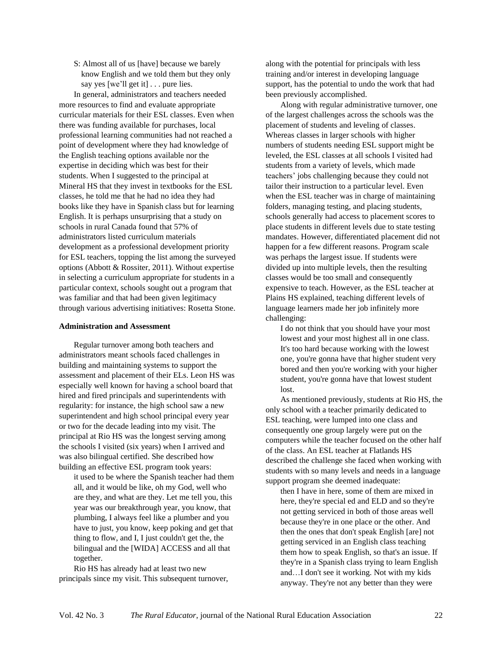S: Almost all of us [have] because we barely know English and we told them but they only say yes [we'll get it] . . . pure lies.

In general, administrators and teachers needed more resources to find and evaluate appropriate curricular materials for their ESL classes. Even when there was funding available for purchases, local professional learning communities had not reached a point of development where they had knowledge of the English teaching options available nor the expertise in deciding which was best for their students. When I suggested to the principal at Mineral HS that they invest in textbooks for the ESL classes, he told me that he had no idea they had books like they have in Spanish class but for learning English. It is perhaps unsurprising that a study on schools in rural Canada found that 57% of administrators listed curriculum materials development as a professional development priority for ESL teachers, topping the list among the surveyed options (Abbott & Rossiter, 2011). Without expertise in selecting a curriculum appropriate for students in a particular context, schools sought out a program that was familiar and that had been given legitimacy through various advertising initiatives: Rosetta Stone.

#### **Administration and Assessment**

Regular turnover among both teachers and administrators meant schools faced challenges in building and maintaining systems to support the assessment and placement of their ELs. Leon HS was especially well known for having a school board that hired and fired principals and superintendents with regularity: for instance, the high school saw a new superintendent and high school principal every year or two for the decade leading into my visit. The principal at Rio HS was the longest serving among the schools I visited (six years) when I arrived and was also bilingual certified. She described how building an effective ESL program took years:

it used to be where the Spanish teacher had them all, and it would be like, oh my God, well who are they, and what are they. Let me tell you, this year was our breakthrough year, you know, that plumbing, I always feel like a plumber and you have to just, you know, keep poking and get that thing to flow, and I, I just couldn't get the, the bilingual and the [WIDA] ACCESS and all that together.

Rio HS has already had at least two new principals since my visit. This subsequent turnover, along with the potential for principals with less training and/or interest in developing language support, has the potential to undo the work that had been previously accomplished.

Along with regular administrative turnover, one of the largest challenges across the schools was the placement of students and leveling of classes. Whereas classes in larger schools with higher numbers of students needing ESL support might be leveled, the ESL classes at all schools I visited had students from a variety of levels, which made teachers' jobs challenging because they could not tailor their instruction to a particular level. Even when the ESL teacher was in charge of maintaining folders, managing testing, and placing students, schools generally had access to placement scores to place students in different levels due to state testing mandates. However, differentiated placement did not happen for a few different reasons. Program scale was perhaps the largest issue. If students were divided up into multiple levels, then the resulting classes would be too small and consequently expensive to teach. However, as the ESL teacher at Plains HS explained, teaching different levels of language learners made her job infinitely more challenging:

I do not think that you should have your most lowest and your most highest all in one class. It's too hard because working with the lowest one, you're gonna have that higher student very bored and then you're working with your higher student, you're gonna have that lowest student lost.

As mentioned previously, students at Rio HS, the only school with a teacher primarily dedicated to ESL teaching, were lumped into one class and consequently one group largely were put on the computers while the teacher focused on the other half of the class. An ESL teacher at Flatlands HS described the challenge she faced when working with students with so many levels and needs in a language support program she deemed inadequate:

then I have in here, some of them are mixed in here, they're special ed and ELD and so they're not getting serviced in both of those areas well because they're in one place or the other. And then the ones that don't speak English [are] not getting serviced in an English class teaching them how to speak English, so that's an issue. If they're in a Spanish class trying to learn English and…I don't see it working. Not with my kids anyway. They're not any better than they were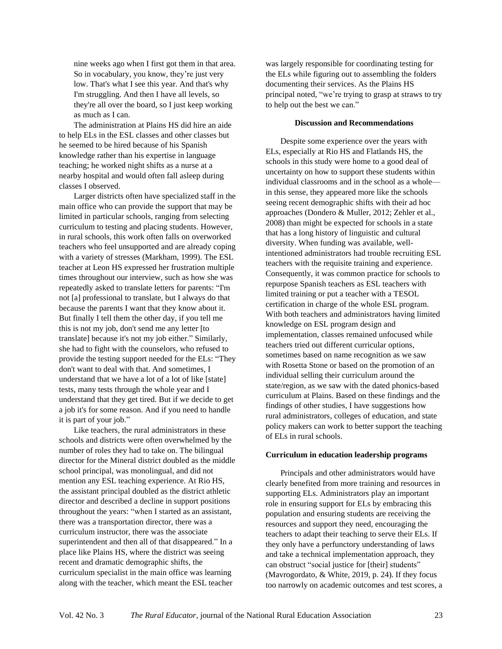nine weeks ago when I first got them in that area. So in vocabulary, you know, they're just very low. That's what I see this year. And that's why I'm struggling. And then I have all levels, so they're all over the board, so I just keep working as much as I can.

The administration at Plains HS did hire an aide to help ELs in the ESL classes and other classes but he seemed to be hired because of his Spanish knowledge rather than his expertise in language teaching; he worked night shifts as a nurse at a nearby hospital and would often fall asleep during classes I observed.

Larger districts often have specialized staff in the main office who can provide the support that may be limited in particular schools, ranging from selecting curriculum to testing and placing students. However, in rural schools, this work often falls on overworked teachers who feel unsupported and are already coping with a variety of stresses (Markham, 1999). The ESL teacher at Leon HS expressed her frustration multiple times throughout our interview, such as how she was repeatedly asked to translate letters for parents: "I'm not [a] professional to translate, but I always do that because the parents I want that they know about it. But finally I tell them the other day, if you tell me this is not my job, don't send me any letter [to translate] because it's not my job either." Similarly, she had to fight with the counselors, who refused to provide the testing support needed for the ELs: "They don't want to deal with that. And sometimes, I understand that we have a lot of a lot of like [state] tests, many tests through the whole year and I understand that they get tired. But if we decide to get a job it's for some reason. And if you need to handle it is part of your job."

Like teachers, the rural administrators in these schools and districts were often overwhelmed by the number of roles they had to take on. The bilingual director for the Mineral district doubled as the middle school principal, was monolingual, and did not mention any ESL teaching experience. At Rio HS, the assistant principal doubled as the district athletic director and described a decline in support positions throughout the years: "when I started as an assistant, there was a transportation director, there was a curriculum instructor, there was the associate superintendent and then all of that disappeared." In a place like Plains HS, where the district was seeing recent and dramatic demographic shifts, the curriculum specialist in the main office was learning along with the teacher, which meant the ESL teacher

was largely responsible for coordinating testing for the ELs while figuring out to assembling the folders documenting their services. As the Plains HS principal noted, "we're trying to grasp at straws to try to help out the best we can."

#### **Discussion and Recommendations**

Despite some experience over the years with ELs, especially at Rio HS and Flatlands HS, the schools in this study were home to a good deal of uncertainty on how to support these students within individual classrooms and in the school as a whole in this sense, they appeared more like the schools seeing recent demographic shifts with their ad hoc approaches (Dondero & Muller, 2012; Zehler et al., 2008) than might be expected for schools in a state that has a long history of linguistic and cultural diversity. When funding was available, wellintentioned administrators had trouble recruiting ESL teachers with the requisite training and experience. Consequently, it was common practice for schools to repurpose Spanish teachers as ESL teachers with limited training or put a teacher with a TESOL certification in charge of the whole ESL program. With both teachers and administrators having limited knowledge on ESL program design and implementation, classes remained unfocused while teachers tried out different curricular options, sometimes based on name recognition as we saw with Rosetta Stone or based on the promotion of an individual selling their curriculum around the state/region, as we saw with the dated phonics-based curriculum at Plains. Based on these findings and the findings of other studies, I have suggestions how rural administrators, colleges of education, and state policy makers can work to better support the teaching of ELs in rural schools.

#### **Curriculum in education leadership programs**

Principals and other administrators would have clearly benefited from more training and resources in supporting ELs. Administrators play an important role in ensuring support for ELs by embracing this population and ensuring students are receiving the resources and support they need, encouraging the teachers to adapt their teaching to serve their ELs. If they only have a perfunctory understanding of laws and take a technical implementation approach, they can obstruct "social justice for [their] students" (Mavrogordato, & White, 2019, p. 24). If they focus too narrowly on academic outcomes and test scores, a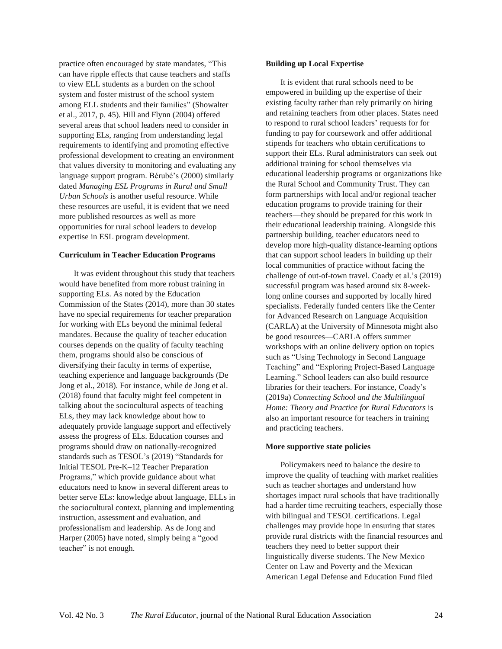practice often encouraged by state mandates, "This can have ripple effects that cause teachers and staffs to view ELL students as a burden on the school system and foster mistrust of the school system among ELL students and their families" (Showalter et al., 2017, p. 45). Hill and Flynn (2004) offered several areas that school leaders need to consider in supporting ELs, ranging from understanding legal requirements to identifying and promoting effective professional development to creating an environment that values diversity to monitoring and evaluating any language support program. Bérubé's (2000) similarly dated *Managing ESL Programs in Rural and Small Urban Schools* is another useful resource. While these resources are useful, it is evident that we need more published resources as well as more opportunities for rural school leaders to develop expertise in ESL program development.

#### **Curriculum in Teacher Education Programs**

It was evident throughout this study that teachers would have benefited from more robust training in supporting ELs. As noted by the Education Commission of the States (2014), more than 30 states have no special requirements for teacher preparation for working with ELs beyond the minimal federal mandates. Because the quality of teacher education courses depends on the quality of faculty teaching them, programs should also be conscious of diversifying their faculty in terms of expertise, teaching experience and language backgrounds (De Jong et al., 2018). For instance, while de Jong et al. (2018) found that faculty might feel competent in talking about the sociocultural aspects of teaching ELs, they may lack knowledge about how to adequately provide language support and effectively assess the progress of ELs. Education courses and programs should draw on nationally-recognized standards such as TESOL's (2019) "Standards for Initial TESOL Pre-K–12 Teacher Preparation Programs," which provide guidance about what educators need to know in several different areas to better serve ELs: knowledge about language, ELLs in the sociocultural context, planning and implementing instruction, assessment and evaluation, and professionalism and leadership. As de Jong and Harper (2005) have noted, simply being a "good teacher" is not enough.

#### **Building up Local Expertise**

It is evident that rural schools need to be empowered in building up the expertise of their existing faculty rather than rely primarily on hiring and retaining teachers from other places. States need to respond to rural school leaders' requests for for funding to pay for coursework and offer additional stipends for teachers who obtain certifications to support their ELs. Rural administrators can seek out additional training for school themselves via educational leadership programs or organizations like the Rural School and Community Trust. They can form partnerships with local and/or regional teacher education programs to provide training for their teachers—they should be prepared for this work in their educational leadership training. Alongside this partnership building, teacher educators need to develop more high-quality distance-learning options that can support school leaders in building up their local communities of practice without facing the challenge of out-of-town travel. Coady et al.'s (2019) successful program was based around six 8-weeklong online courses and supported by locally hired specialists. Federally funded centers like the Center for Advanced Research on Language Acquisition (CARLA) at the University of Minnesota might also be good resources—CARLA offers summer workshops with an online delivery option on topics such as "Using Technology in Second Language Teaching" and "Exploring Project-Based Language Learning." School leaders can also build resource libraries for their teachers. For instance, Coady's (2019a) *Connecting School and the Multilingual Home: Theory and Practice for Rural Educators* is also an important resource for teachers in training and practicing teachers.

#### **More supportive state policies**

Policymakers need to balance the desire to improve the quality of teaching with market realities such as teacher shortages and understand how shortages impact rural schools that have traditionally had a harder time recruiting teachers, especially those with bilingual and TESOL certifications. Legal challenges may provide hope in ensuring that states provide rural districts with the financial resources and teachers they need to better support their linguistically diverse students. The New Mexico Center on Law and Poverty and the Mexican American Legal Defense and Education Fund filed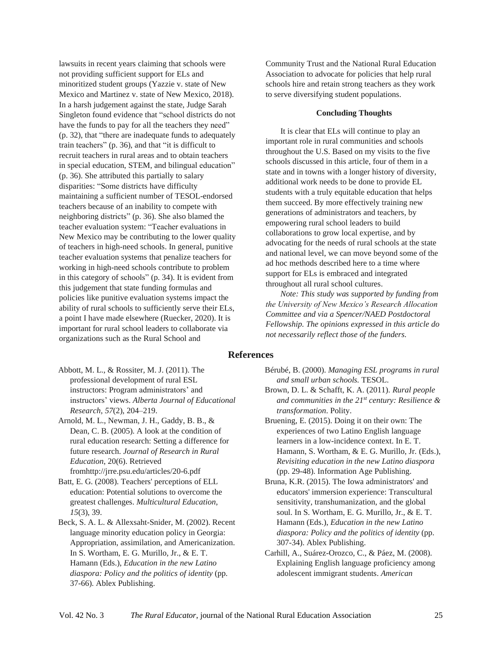lawsuits in recent years claiming that schools were not providing sufficient support for ELs and minoritized student groups (Yazzie v. state of New Mexico and Martinez v. state of New Mexico, 2018). In a harsh judgement against the state, Judge Sarah Singleton found evidence that "school districts do not have the funds to pay for all the teachers they need" (p. 32), that "there are inadequate funds to adequately train teachers" (p. 36), and that "it is difficult to recruit teachers in rural areas and to obtain teachers in special education, STEM, and bilingual education" (p. 36). She attributed this partially to salary disparities: "Some districts have difficulty maintaining a sufficient number of TESOL-endorsed teachers because of an inability to compete with neighboring districts" (p. 36). She also blamed the teacher evaluation system: "Teacher evaluations in New Mexico may be contributing to the lower quality of teachers in high-need schools. In general, punitive teacher evaluation systems that penalize teachers for working in high-need schools contribute to problem in this category of schools" (p. 34). It is evident from this judgement that state funding formulas and policies like punitive evaluation systems impact the ability of rural schools to sufficiently serve their ELs, a point I have made elsewhere (Ruecker, 2020). It is important for rural school leaders to collaborate via organizations such as the Rural School and

Community Trust and the National Rural Education Association to advocate for policies that help rural schools hire and retain strong teachers as they work to serve diversifying student populations.

#### **Concluding Thoughts**

It is clear that ELs will continue to play an important role in rural communities and schools throughout the U.S. Based on my visits to the five schools discussed in this article, four of them in a state and in towns with a longer history of diversity, additional work needs to be done to provide EL students with a truly equitable education that helps them succeed. By more effectively training new generations of administrators and teachers, by empowering rural school leaders to build collaborations to grow local expertise, and by advocating for the needs of rural schools at the state and national level, we can move beyond some of the ad hoc methods described here to a time where support for ELs is embraced and integrated throughout all rural school cultures.

*Note: This study was supported by funding from the University of New Mexico's Research Allocation Committee and via a Spencer/NAED Postdoctoral Fellowship. The opinions expressed in this article do not necessarily reflect those of the funders.*

#### **References**

Abbott, M. L., & Rossiter, M. J. (2011). The professional development of rural ESL instructors: Program administrators' and instructors' views. *Alberta Journal of Educational Research, 57*(2), 204–219.

Arnold, M. L., Newman, J. H., Gaddy, B. B., & Dean, C. B. (2005). A look at the condition of rural education research: Setting a difference for future research. *Journal of Research in Rural Education*, 20(6). Retrieved fromhttp://jrre.psu.edu/articles/20-6.pdf

Batt, E. G. (2008). Teachers' perceptions of ELL education: Potential solutions to overcome the greatest challenges. *Multicultural Education*, *15*(3), 39.

Beck, S. A. L. & Allexsaht-Snider, M. (2002). Recent language minority education policy in Georgia: Appropriation, assimilation, and Americanization. In S. Wortham, E. G. Murillo, Jr., & E. T. Hamann (Eds.), *Education in the new Latino diaspora: Policy and the politics of identity* (pp. 37-66). Ablex Publishing.

- Bérubé, B. (2000). *Managing ESL programs in rural and small urban schools.* TESOL.
- Brown, D. L. & Schafft, K. A. (2011). *Rural people and communities in the 21st century: Resilience & transformation*. Polity.
- Bruening, E. (2015). Doing it on their own: The experiences of two Latino English language learners in a low-incidence context. In E. T. Hamann, S. Wortham, & E. G. Murillo, Jr. (Eds.), *Revisiting education in the new Latino diaspora* (pp. 29-48). Information Age Publishing.
- Bruna, K.R. (2015). The Iowa administrators' and educators' immersion experience: Transcultural sensitivity, transhumanization, and the global soul. In S. Wortham, E. G. Murillo, Jr., & E. T. Hamann (Eds.), *Education in the new Latino diaspora: Policy and the politics of identity* (pp. 307-34). Ablex Publishing.
- Carhill, A., Suárez-Orozco, C., & Páez, M. (2008). Explaining English language proficiency among adolescent immigrant students. *American*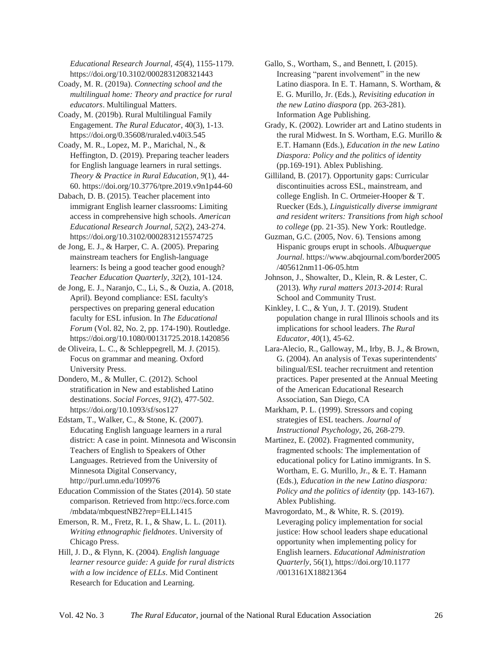*Educational Research Journal*, *45*(4), 1155-1179. https://doi.org/10.3102/0002831208321443

Coady, M. R. (2019a). *Connecting school and the multilingual home: Theory and practice for rural educators*. Multilingual Matters.

Coady, M. (2019b). Rural Multilingual Family Engagement. *The Rural Educator*, 40(3), 1-13. https://doi.org/0.35608/ruraled.v40i3.545

Coady, M. R., Lopez, M. P., Marichal, N., & Heffington, D. (2019). Preparing teacher leaders for English language learners in rural settings. *Theory & Practice in Rural Education*, *9*(1), 44- 60. https://doi.org/10.3776/tpre.2019.v9n1p44-60

Dabach, D. B. (2015). Teacher placement into immigrant English learner classrooms: Limiting access in comprehensive high schools. *American Educational Research Journal*, *52*(2), 243-274. https://doi.org/10.3102/0002831215574725

de Jong, E. J., & Harper, C. A. (2005). Preparing mainstream teachers for English-language learners: Is being a good teacher good enough? *Teacher Education Quarterly*, *32*(2), 101-124.

de Jong, E. J., Naranjo, C., Li, S., & Ouzia, A. (2018, April). Beyond compliance: ESL faculty's perspectives on preparing general education faculty for ESL infusion. In *The Educational Forum* (Vol. 82, No. 2, pp. 174-190). Routledge. https://doi.org/10.1080/00131725.2018.1420856

de Oliveira, L. C., & Schleppegrell, M. J. (2015). Focus on grammar and meaning. Oxford University Press.

Dondero, M., & Muller, C. (2012). School stratification in New and established Latino destinations. *Social Forces*, *91*(2), 477-502. https://doi.org/10.1093/sf/sos127

Edstam, T., Walker, C., & Stone, K. (2007). Educating English language learners in a rural district: A case in point. Minnesota and Wisconsin Teachers of English to Speakers of Other Languages. Retrieved from the University of Minnesota Digital Conservancy, http://purl.umn.edu/109976

Education Commission of the States (2014). 50 state comparison. Retrieved from [http://ecs.force.com](http://ecs.force.com/) /mbdata/mbquestNB2?rep=ELL1415

Emerson, R. M., Fretz, R. I., & Shaw, L. L. (2011). *Writing ethnographic fieldnotes*. University of Chicago Press.

Hill, J. D., & Flynn, K. (2004). *English language learner resource guide: A guide for rural districts with a low incidence of ELLs*. Mid Continent Research for Education and Learning.

Gallo, S., Wortham, S., and Bennett, I. (2015). Increasing "parent involvement" in the new Latino diaspora. In E. T. Hamann, S. Wortham, & E. G. Murillo, Jr. (Eds.), *Revisiting education in the new Latino diaspora* (pp. 263-281). Information Age Publishing.

Grady, K. (2002). Lowrider art and Latino students in the rural Midwest. In S. Wortham, E.G. Murillo & E.T. Hamann (Eds.), *Education in the new Latino Diaspora: Policy and the politics of identity* (pp.169-191). Ablex Publishing.

Gilliland, B. (2017). Opportunity gaps: Curricular discontinuities across ESL, mainstream, and college English. In C. Ortmeier-Hooper & T. Ruecker (Eds.), *Linguistically diverse immigrant and resident writers: Transitions from high school to college* (pp. 21-35). New York: Routledge.

Guzman, G.C. (2005, Nov. 6). Tensions among Hispanic groups erupt in schools. *Albuquerque Journal*. <https://www.abqjournal.com/border2005> /405612nm11-06-05.htm

Johnson, J., Showalter, D., Klein, R. & Lester, C. (2013). *Why rural matters 2013-2014*: Rural School and Community Trust.

Kinkley, I. C., & Yun, J. T. (2019). Student population change in rural Illinois schools and its implications for school leaders. *The Rural Educator*, *40*(1), 45-62.

Lara-Alecio, R., Galloway, M., Irby, B. J., & Brown, G. (2004). An analysis of Texas superintendents' bilingual/ESL teacher recruitment and retention practices. Paper presented at the Annual Meeting of the American Educational Research Association, San Diego, CA

Markham, P. L. (1999). Stressors and coping strategies of ESL teachers. *Journal of Instructional Psychology*, 26, 268-279.

Martinez, E. (2002). Fragmented community, fragmented schools: The implementation of educational policy for Latino immigrants. In S. Wortham, E. G. Murillo, Jr., & E. T. Hamann (Eds.), *Education in the new Latino diaspora: Policy and the politics of identity* (pp. 143-167). Ablex Publishing.

Mavrogordato, M., & White, R. S. (2019). Leveraging policy implementation for social justice: How school leaders shape educational opportunity when implementing policy for English learners. *Educational Administration Quarterly*, 56(1), <https://doi.org/10.1177> /0013161X18821364